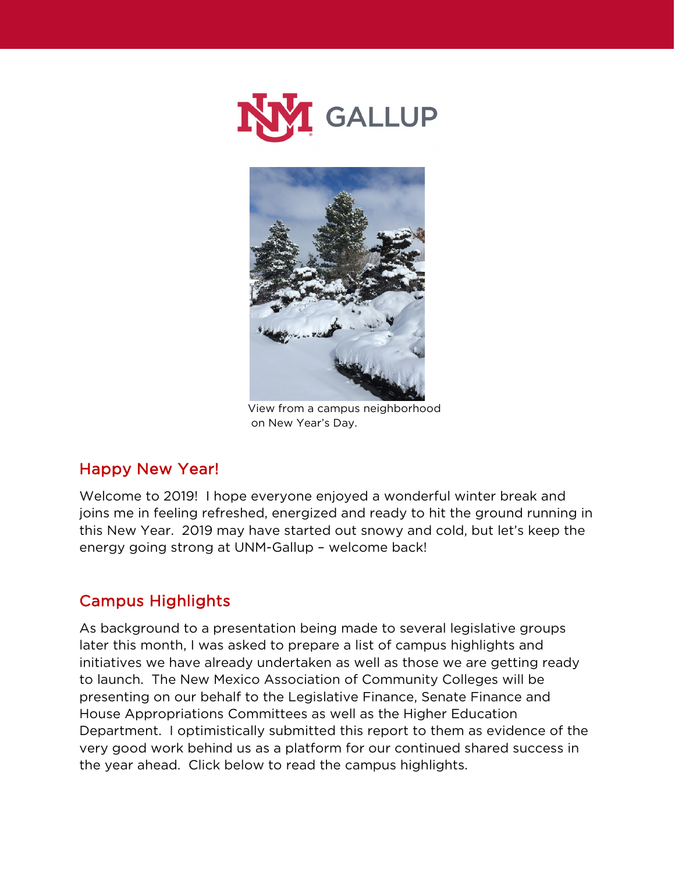



 View from a campus neighborhood on New Year's Day.

### Happy New Year!

Welcome to 2019! I hope everyone enjoyed a wonderful winter break and joins me in feeling refreshed, energized and ready to hit the ground running in this New Year. 2019 may have started out snowy and cold, but let's keep the energy going strong at UNM-Gallup – welcome back!

#### Campus Highlights

As background to a presentation being made to several legislative groups later this month, I was asked to prepare a list of campus highlights and initiatives we have already undertaken as well as those we are getting ready to launch. The New Mexico Association of Community Colleges will be presenting on our behalf to the Legislative Finance, Senate Finance and House Appropriations Committees as well as the Higher Education Department. I optimistically submitted this report to them as evidence of the very good work behind us as a platform for our continued shared success in the year ahead. Click below to read the campus highlights.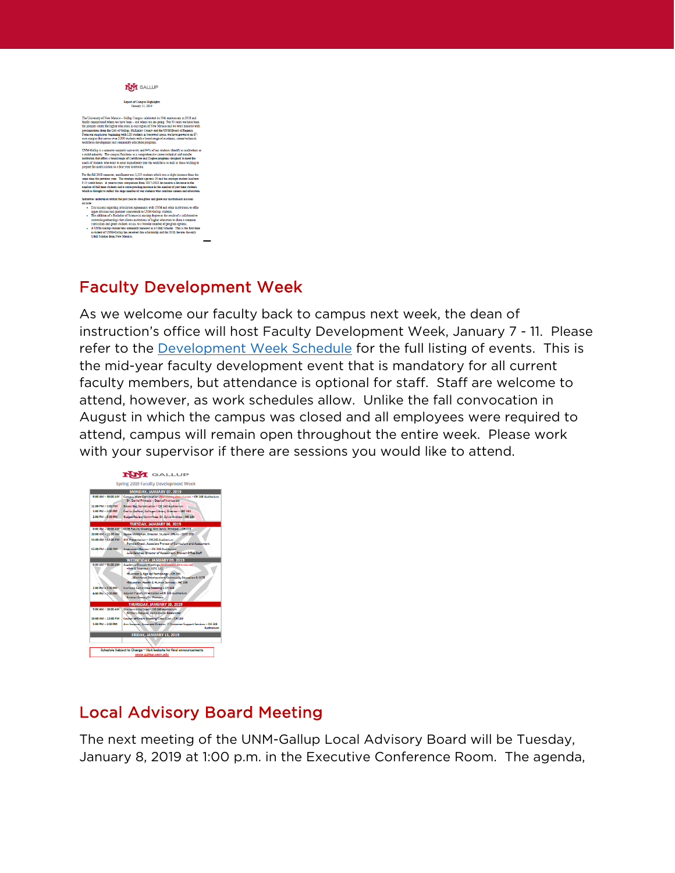# NVI GALLUP -<br>Report of Campus Highlights<br>January 11, 2019

### Faculty Development Week

As we welcome our faculty back to campus next week, the dean of instruction's office will host Faculty Development Week, January 7 - 11. Please refer to the **[Development Week Schedule](https://gallup.unm.edu/pdfs/UNMGallupSpring2019FacultyDevelopmentWeek.pdf)** for the full listing of events. This is the mid-year faculty development event that is mandatory for all current faculty members, but attendance is optional for staff. Staff are welcome to attend, however, as work schedules allow. Unlike the fall convocation in August in which the campus was closed and all employees were required to attend, campus will remain open throughout the entire week. Please work with your supervisor if there are sessions you would like to attend.



# Local Advisory Board Meeting

The next meeting of the UNM-Gallup Local Advisory Board will be Tuesday, January 8, 2019 at 1:00 p.m. in the Executive Conference Room. The agenda,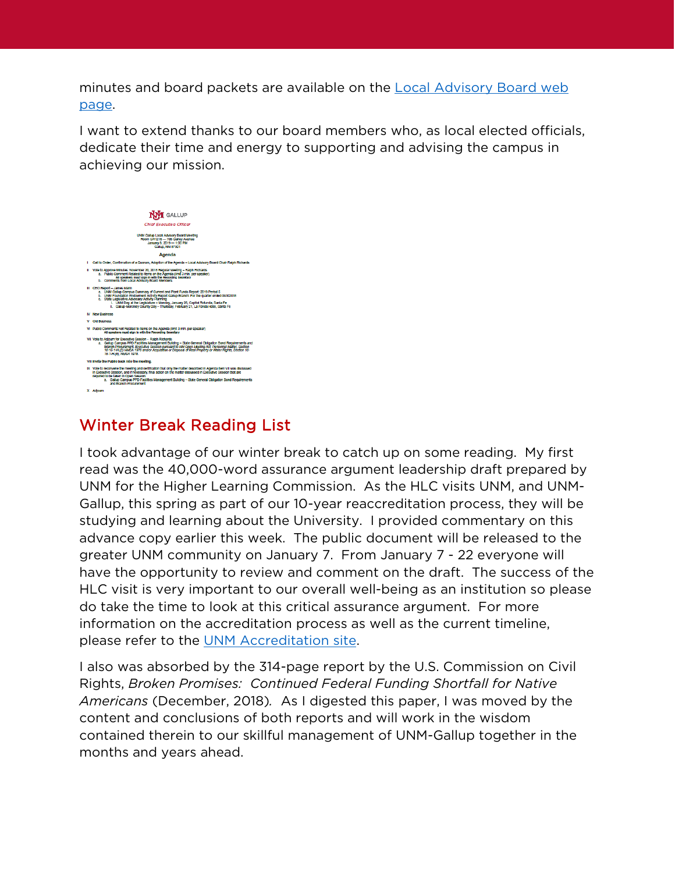minutes and board packets are available on the Local Advisory Board web [page.](https://gallup.unm.edu/administration/localboard/)

I want to extend thanks to our board members who, as local elected officials, dedicate their time and energy to supporting and advising the campus in achieving our mission.



## Winter Break Reading List

I took advantage of our winter break to catch up on some reading. My first read was the 40,000-word assurance argument leadership draft prepared by UNM for the Higher Learning Commission. As the HLC visits UNM, and UNM-Gallup, this spring as part of our 10-year reaccreditation process, they will be studying and learning about the University. I provided commentary on this advance copy earlier this week. The public document will be released to the greater UNM community on January 7. From January 7 - 22 everyone will have the opportunity to review and comment on the draft. The success of the HLC visit is very important to our overall well-being as an institution so please do take the time to look at this critical assurance argument. For more information on the accreditation process as well as the current timeline, please refer to the [UNM Accreditation site.](http://accreditation.unm.edu/)

I also was absorbed by the 314-page report by the U.S. Commission on Civil Rights, *Broken Promises: Continued Federal Funding Shortfall for Native Americans* (December, 2018)*.* As I digested this paper, I was moved by the content and conclusions of both reports and will work in the wisdom contained therein to our skillful management of UNM-Gallup together in the months and years ahead.